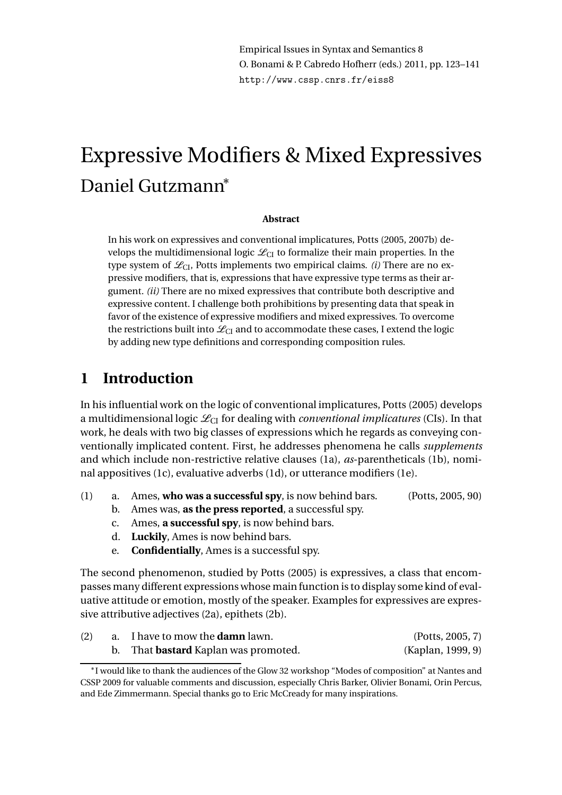Empirical Issues in Syntax and Semantics 8 O. Bonami & P. Cabredo Hofherr (eds.) 2011, pp. 123–141 http://www.cssp.cnrs.fr/eiss8

# Expressive Modifiers & Mixed Expressives Daniel Gutzmann<sup>∗</sup>

#### **Abstract**

In his work on expressives and conventional implicatures, Potts (2005, 2007b) develops the multidimensional logic  $\mathcal{L}_{CI}$  to formalize their main properties. In the type system of  $\mathcal{L}_{CL}$ , Potts implements two empirical claims. *(i)* There are no expressive modifiers, that is, expressions that have expressive type terms as their argument. *(ii)* There are no mixed expressives that contribute both descriptive and expressive content. I challenge both prohibitions by presenting data that speak in favor of the existence of expressive modifiers and mixed expressives. To overcome the restrictions built into  $\mathcal{L}_{CI}$  and to accommodate these cases, I extend the logic by adding new type definitions and corresponding composition rules.

# **1 Introduction**

In his influential work on the logic of conventional implicatures, Potts (2005) develops a multidimensional logic  $\mathcal{L}_{CI}$  for dealing with *conventional implicatures* (CIs). In that work, he deals with two big classes of expressions which he regards as conveying conventionally implicated content. First, he addresses phenomena he calls *supplements* and which include non-restrictive relative clauses (1a), *as*-parentheticals (1b), nominal appositives (1c), evaluative adverbs (1d), or utterance modifiers (1e).

- (1) a. Ames, **who was a successful spy**, is now behind bars. (Potts, 2005, 90)
	- b. Ames was, **as the press reported**, a successful spy.
	- c. Ames, **a successful spy**, is now behind bars.
	- d. **Luckily**, Ames is now behind bars.
	- e. **Confidentially**, Ames is a successful spy.

The second phenomenon, studied by Potts (2005) is expressives, a class that encompasses many different expressions whose main function is to display some kind of evaluative attitude or emotion, mostly of the speaker. Examples for expressives are expressive attributive adjectives (2a), epithets (2b).

| (2) | a. I have to mow the <b>damn</b> lawn.   | (Potts, 2005, 7)  |
|-----|------------------------------------------|-------------------|
|     | That <b>bastard</b> Kaplan was promoted. | (Kaplan, 1999, 9) |

<sup>∗</sup> I would like to thank the audiences of the Glow 32 workshop "Modes of composition" at Nantes and CSSP 2009 for valuable comments and discussion, especially Chris Barker, Olivier Bonami, Orin Percus, and Ede Zimmermann. Special thanks go to Eric McCready for many inspirations.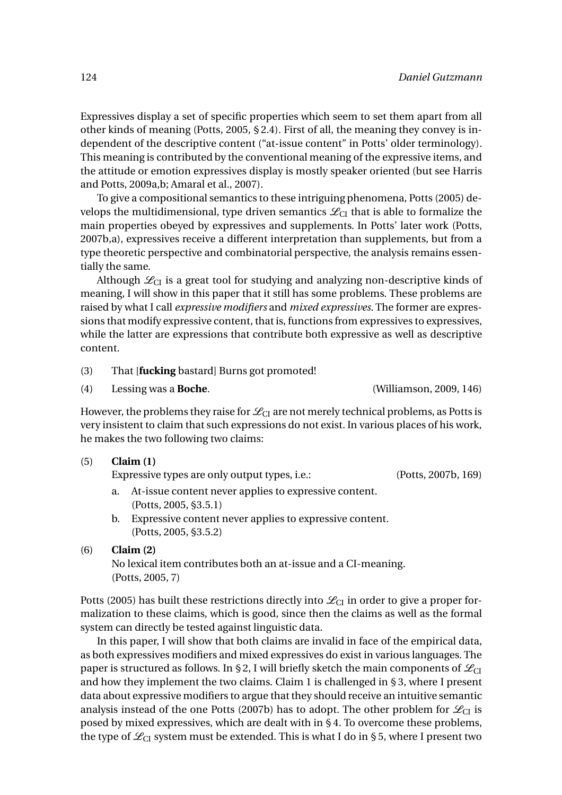Expressives display a set of specific properties which seem to set them apart from all other kinds of meaning (Potts, 2005, § 2.4). First of all, the meaning they convey is independent of the descriptive content ("at-issue content" in Potts' older terminology). This meaning is contributed by the conventional meaning of the expressive items, and the attitude or emotion expressives display is mostly speaker oriented (but see Harris and Potts, 2009a,b; Amaral et al., 2007).

To give a compositional semantics to these intriguing phenomena, Potts (2005) develops the multidimensional, type driven semantics  $\mathcal{L}_{CI}$  that is able to formalize the main properties obeyed by expressives and supplements. In Potts' later work (Potts, 2007b,a), expressives receive a different interpretation than supplements, but from a type theoretic perspective and combinatorial perspective, the analysis remains essentially the same.

Although  $\mathcal{L}_{CI}$  is a great tool for studying and analyzing non-descriptive kinds of meaning, I will show in this paper that it still has some problems. These problems are raised by what I call *expressive modifiers* and *mixed expressives*. The former are expressions that modify expressive content, that is, functions from expressives to expressives, while the latter are expressions that contribute both expressive as well as descriptive content.

- (3) That [**fucking** bastard] Burns got promoted!
- (4) Lessing was a **Boche**. (Williamson, 2009, 146)

However, the problems they raise for  $\mathcal{L}_{CI}$  are not merely technical problems, as Potts is very insistent to claim that such expressions do not exist. In various places of his work, he makes the two following two claims:

| (5) | Claim (1)                                     |                     |  |  |  |  |
|-----|-----------------------------------------------|---------------------|--|--|--|--|
|     | Expressive types are only output types, i.e.: | (Potts, 2007b, 169) |  |  |  |  |

- a. At-issue content never applies to expressive content. (Potts, 2005, §3.5.1)
- b. Expressive content never applies to expressive content. (Potts, 2005, §3.5.2)

#### (6) **Claim (2)**

No lexical item contributes both an at-issue and a CI-meaning. (Potts, 2005, 7)

Potts (2005) has built these restrictions directly into  $\mathcal{L}_{CI}$  in order to give a proper formalization to these claims, which is good, since then the claims as well as the formal system can directly be tested against linguistic data.

In this paper, I will show that both claims are invalid in face of the empirical data, as both expressives modifiers and mixed expressives do exist in various languages. The paper is structured as follows. In §2, I will briefly sketch the main components of  $\mathcal{L}_{CI}$ and how they implement the two claims. Claim 1 is challenged in § 3, where I present data about expressive modifiers to argue that they should receive an intuitive semantic analysis instead of the one Potts (2007b) has to adopt. The other problem for  $\mathcal{L}_{CI}$  is posed by mixed expressives, which are dealt with in § 4. To overcome these problems, the type of  $\mathcal{L}_{CI}$  system must be extended. This is what I do in § 5, where I present two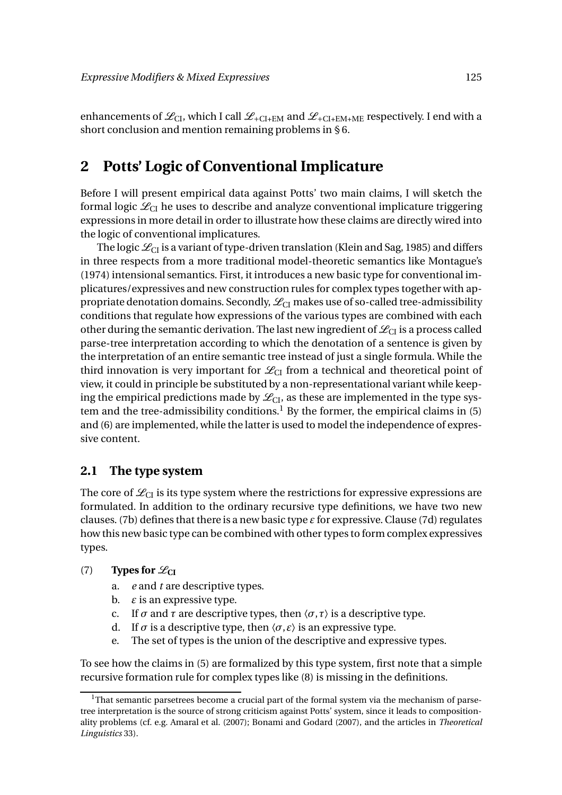enhancements of  $\mathcal{L}_{CL}$ , which I call  $\mathcal{L}_{+CL+EM}$  and  $\mathcal{L}_{+CL+EM+ME}$  respectively. I end with a short conclusion and mention remaining problems in § 6.

# **2 Potts' Logic of Conventional Implicature**

Before I will present empirical data against Potts' two main claims, I will sketch the formal logic  $\mathcal{L}_{\text{CI}}$  he uses to describe and analyze conventional implicature triggering expressions in more detail in order to illustrate how these claims are directly wired into the logic of conventional implicatures.

The logic  $\mathcal{L}_{CI}$  is a variant of type-driven translation (Klein and Sag, 1985) and differs in three respects from a more traditional model-theoretic semantics like Montague's (1974) intensional semantics. First, it introduces a new basic type for conventional implicatures/expressives and new construction rules for complex types together with appropriate denotation domains. Secondly,  $\mathcal{L}_{\text{CI}}$  makes use of so-called tree-admissibility conditions that regulate how expressions of the various types are combined with each other during the semantic derivation. The last new ingredient of  $\mathcal{L}_{CI}$  is a process called parse-tree interpretation according to which the denotation of a sentence is given by the interpretation of an entire semantic tree instead of just a single formula. While the third innovation is very important for  $\mathcal{L}_{CI}$  from a technical and theoretical point of view, it could in principle be substituted by a non-representational variant while keeping the empirical predictions made by  $\mathcal{L}_{CL}$ , as these are implemented in the type system and the tree-admissibility conditions.<sup>1</sup> By the former, the empirical claims in  $(5)$ and (6) are implemented, while the latter is used to model the independence of expressive content.

#### **2.1 The type system**

The core of  $\mathcal{L}_{CI}$  is its type system where the restrictions for expressive expressions are formulated. In addition to the ordinary recursive type definitions, we have two new clauses. (7b) defines that there is a new basic type *ε* for expressive. Clause (7d) regulates how this new basic type can be combined with other types to form complex expressives types.

#### (7) **Types for**  $\mathscr{L}_{CI}$

- a. *e* and *t* are descriptive types.
- b.  $\varepsilon$  is an expressive type.
- c. If  $\sigma$  and  $\tau$  are descriptive types, then  $\langle \sigma, \tau \rangle$  is a descriptive type.
- d. If  $\sigma$  is a descriptive type, then  $\langle \sigma, \varepsilon \rangle$  is an expressive type.
- e. The set of types is the union of the descriptive and expressive types.

To see how the claims in (5) are formalized by this type system, first note that a simple recursive formation rule for complex types like (8) is missing in the definitions.

<sup>&</sup>lt;sup>1</sup>That semantic parsetrees become a crucial part of the formal system via the mechanism of parsetree interpretation is the source of strong criticism against Potts' system, since it leads to compositionality problems (cf. e.g. Amaral et al. (2007); Bonami and Godard (2007), and the articles in *Theoretical Linguistics* 33).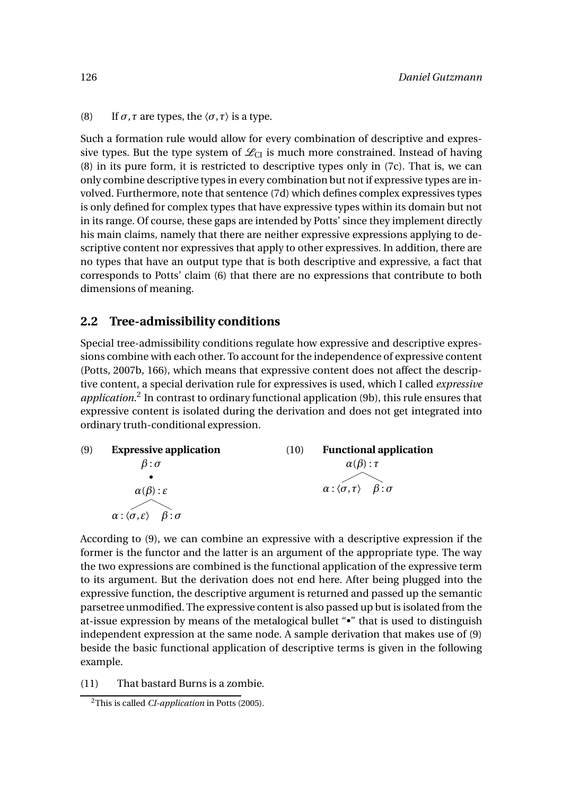(8) If  $\sigma$ ,  $\tau$  are types, the  $\langle \sigma, \tau \rangle$  is a type.

Such a formation rule would allow for every combination of descriptive and expressive types. But the type system of  $\mathcal{L}_{CL}$  is much more constrained. Instead of having (8) in its pure form, it is restricted to descriptive types only in (7c). That is, we can only combine descriptive types in every combination but not if expressive types are involved. Furthermore, note that sentence (7d) which defines complex expressives types is only defined for complex types that have expressive types within its domain but not in its range. Of course, these gaps are intended by Potts' since they implement directly his main claims, namely that there are neither expressive expressions applying to descriptive content nor expressives that apply to other expressives. In addition, there are no types that have an output type that is both descriptive and expressive, a fact that corresponds to Potts' claim (6) that there are no expressions that contribute to both dimensions of meaning.

#### **2.2 Tree-admissibility conditions**

Special tree-admissibility conditions regulate how expressive and descriptive expressions combine with each other. To account for the independence of expressive content (Potts, 2007b, 166), which means that expressive content does not affect the descriptive content, a special derivation rule for expressives is used, which I called *expressive* application.<sup>2</sup> In contrast to ordinary functional application (9b), this rule ensures that expressive content is isolated during the derivation and does not get integrated into ordinary truth-conditional expression.



According to (9), we can combine an expressive with a descriptive expression if the former is the functor and the latter is an argument of the appropriate type. The way the two expressions are combined is the functional application of the expressive term to its argument. But the derivation does not end here. After being plugged into the expressive function, the descriptive argument is returned and passed up the semantic parsetree unmodified. The expressive content is also passed up but is isolated from the at-issue expression by means of the metalogical bullet "•" that is used to distinguish independent expression at the same node. A sample derivation that makes use of (9) beside the basic functional application of descriptive terms is given in the following example.

(11) That bastard Burns is a zombie.

<sup>2</sup>This is called *CI-application* in Potts (2005).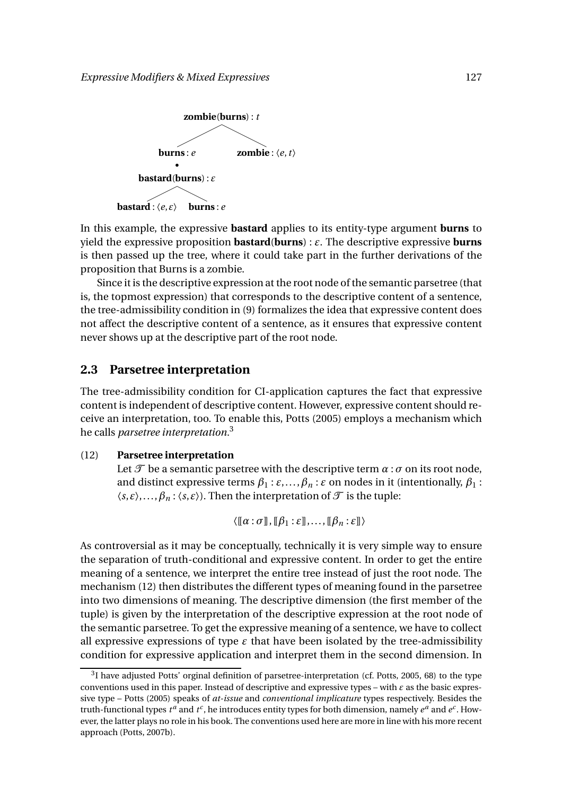

In this example, the expressive **bastard** applies to its entity-type argument **burns** to yield the expressive proposition **bastard**(**burns**) : *ε*. The descriptive expressive **burns** is then passed up the tree, where it could take part in the further derivations of the proposition that Burns is a zombie.

Since it is the descriptive expression at the root node of the semantic parsetree (that is, the topmost expression) that corresponds to the descriptive content of a sentence, the tree-admissibility condition in (9) formalizes the idea that expressive content does not affect the descriptive content of a sentence, as it ensures that expressive content never shows up at the descriptive part of the root node.

#### **2.3 Parsetree interpretation**

The tree-admissibility condition for CI-application captures the fact that expressive content is independent of descriptive content. However, expressive content should receive an interpretation, too. To enable this, Potts (2005) employs a mechanism which he calls *parsetree interpretation.*<sup>3</sup>

#### (12) **Parsetree interpretation**

Let  $\mathcal T$  be a semantic parsetree with the descriptive term  $\alpha : \sigma$  on its root node, and distinct expressive terms  $\beta_1 : \varepsilon, \dots, \beta_n : \varepsilon$  on nodes in it (intentionally,  $\beta_1$ )  $\langle s, \varepsilon \rangle, \ldots, \beta_n : \langle s, \varepsilon \rangle$ . Then the interpretation of  $\mathcal T$  is the tuple:

 $\langle [\alpha : \sigma], [\beta_1 : \varepsilon], \ldots, [\beta_n : \varepsilon] \rangle$ 

As controversial as it may be conceptually, technically it is very simple way to ensure the separation of truth-conditional and expressive content. In order to get the entire meaning of a sentence, we interpret the entire tree instead of just the root node. The mechanism (12) then distributes the different types of meaning found in the parsetree into two dimensions of meaning. The descriptive dimension (the first member of the tuple) is given by the interpretation of the descriptive expression at the root node of the semantic parsetree. To get the expressive meaning of a sentence, we have to collect all expressive expressions of type  $\varepsilon$  that have been isolated by the tree-admissibility condition for expressive application and interpret them in the second dimension. In

 $^{3}$ I have adjusted Potts' orginal definition of parsetree-interpretation (cf. Potts, 2005, 68) to the type conventions used in this paper. Instead of descriptive and expressive types – with *ε* as the basic expressive type – Potts (2005) speaks of *at-issue* and *conventional implicature* types respectively. Besides the truth-functional types  $t^a$  and  $t^c$ , he introduces entity types for both dimension, namely  $e^a$  and  $e^c$ . However, the latter plays no role in his book. The conventions used here are more in line with his more recent approach (Potts, 2007b).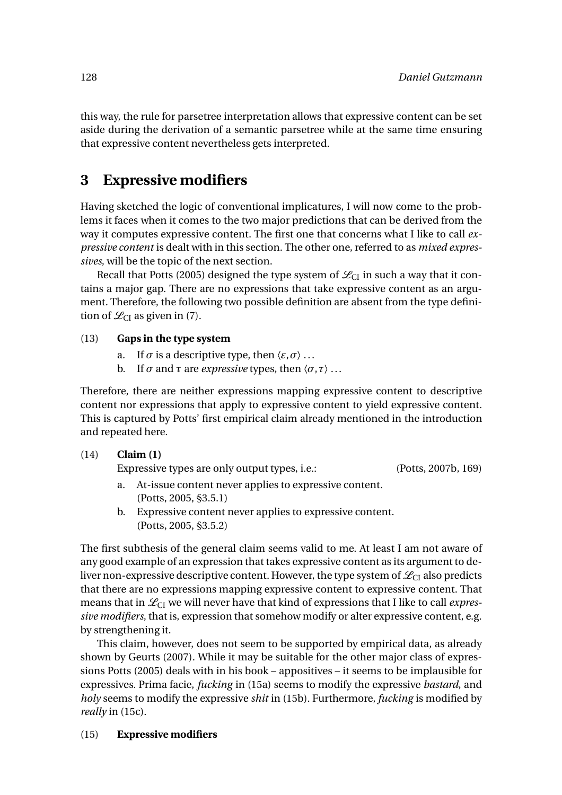this way, the rule for parsetree interpretation allows that expressive content can be set aside during the derivation of a semantic parsetree while at the same time ensuring that expressive content nevertheless gets interpreted.

# **3 Expressive modifiers**

Having sketched the logic of conventional implicatures, I will now come to the problems it faces when it comes to the two major predictions that can be derived from the way it computes expressive content. The first one that concerns what I like to call *expressive content* is dealt with in this section. The other one, referred to as *mixed expressives*, will be the topic of the next section.

Recall that Potts (2005) designed the type system of  $\mathcal{L}_{CI}$  in such a way that it contains a major gap. There are no expressions that take expressive content as an argument. Therefore, the following two possible definition are absent from the type definition of  $\mathcal{L}_{CI}$  as given in (7).

#### (13) **Gaps in the type system**

- a. If  $\sigma$  is a descriptive type, then  $\langle \varepsilon, \sigma \rangle$ ...
- b. If *σ* and *τ* are *expressive* types, then  $\langle σ, τ \rangle$  ...

Therefore, there are neither expressions mapping expressive content to descriptive content nor expressions that apply to expressive content to yield expressive content. This is captured by Potts' first empirical claim already mentioned in the introduction and repeated here.

#### (14) **Claim (1)**

Expressive types are only output types, i.e.: (Potts, 2007b, 169)

- a. At-issue content never applies to expressive content. (Potts, 2005, §3.5.1)
- b. Expressive content never applies to expressive content. (Potts, 2005, §3.5.2)

The first subthesis of the general claim seems valid to me. At least I am not aware of any good example of an expression that takes expressive content as its argument to deliver non-expressive descriptive content. However, the type system of  $\mathcal{L}_{C}$  also predicts that there are no expressions mapping expressive content to expressive content. That means that in  $\mathcal{L}_{CI}$  we will never have that kind of expressions that I like to call *expressive modifiers*, that is, expression that somehow modify or alter expressive content, e.g. by strengthening it.

This claim, however, does not seem to be supported by empirical data, as already shown by Geurts (2007). While it may be suitable for the other major class of expressions Potts (2005) deals with in his book – appositives – it seems to be implausible for expressives. Prima facie, *fucking* in (15a) seems to modify the expressive *bastard*, and *holy* seems to modify the expressive *shit* in (15b). Furthermore, *fucking* is modified by *really* in (15c).

#### (15) **Expressive modifiers**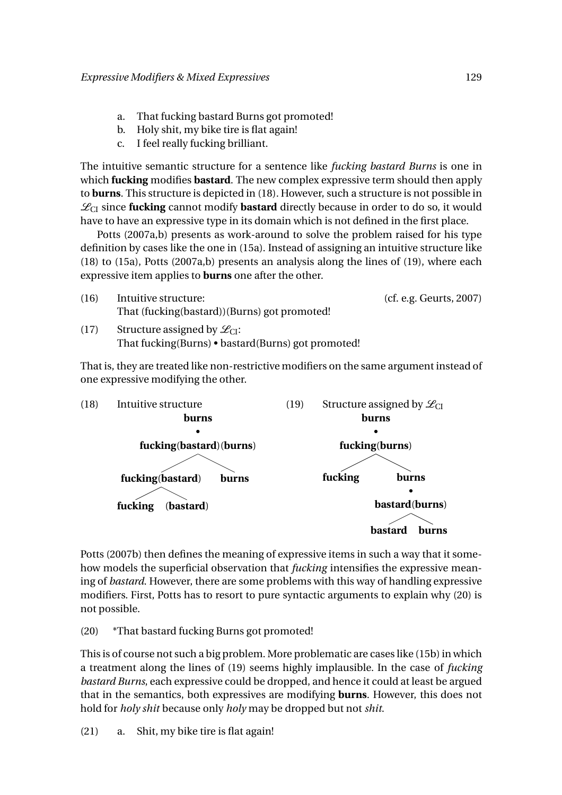- a. That fucking bastard Burns got promoted!
- b. Holy shit, my bike tire is flat again!
- c. I feel really fucking brilliant.

The intuitive semantic structure for a sentence like *fucking bastard Burns* is one in which **fucking** modifies **bastard**. The new complex expressive term should then apply to **burns**. This structure is depicted in (18). However, such a structure is not possible in  $\mathcal{L}_{\text{CI}}$  since **fucking** cannot modify **bastard** directly because in order to do so, it would have to have an expressive type in its domain which is not defined in the first place.

Potts (2007a,b) presents as work-around to solve the problem raised for his type definition by cases like the one in (15a). Instead of assigning an intuitive structure like (18) to (15a), Potts (2007a,b) presents an analysis along the lines of (19), where each expressive item applies to **burns** one after the other.



That is, they are treated like non-restrictive modifiers on the same argument instead of one expressive modifying the other.



Potts (2007b) then defines the meaning of expressive items in such a way that it somehow models the superficial observation that *fucking* intensifies the expressive meaning of *bastard*. However, there are some problems with this way of handling expressive modifiers. First, Potts has to resort to pure syntactic arguments to explain why (20) is not possible.

(20) \*That bastard fucking Burns got promoted!

This is of course not such a big problem. More problematic are cases like (15b) in which a treatment along the lines of (19) seems highly implausible. In the case of *fucking bastard Burns*, each expressive could be dropped, and hence it could at least be argued that in the semantics, both expressives are modifying **burns**. However, this does not hold for *holy shit* because only *holy* may be dropped but not *shit*.

(21) a. Shit, my bike tire is flat again!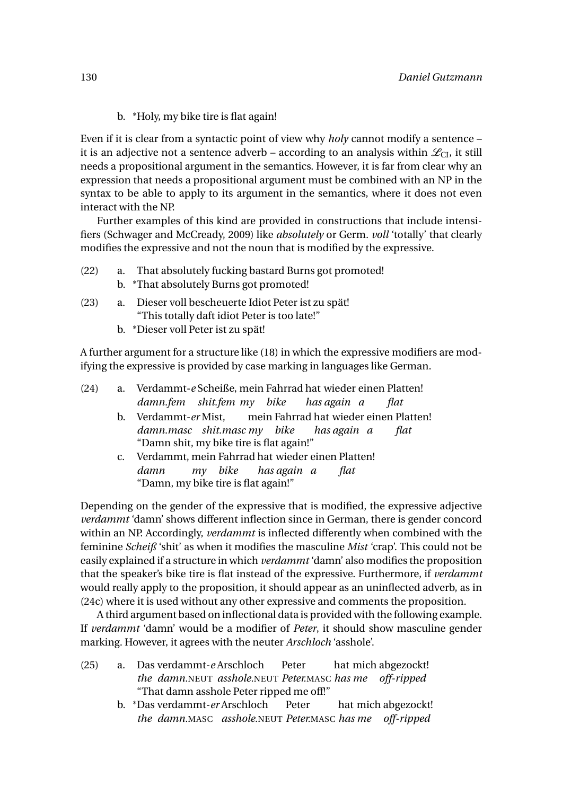#### b. \*Holy, my bike tire is flat again!

Even if it is clear from a syntactic point of view why *holy* cannot modify a sentence – it is an adjective not a sentence adverb – according to an analysis within  $\mathcal{L}_{CL}$ , it still needs a propositional argument in the semantics. However, it is far from clear why an expression that needs a propositional argument must be combined with an NP in the syntax to be able to apply to its argument in the semantics, where it does not even interact with the NP.

Further examples of this kind are provided in constructions that include intensifiers (Schwager and McCready, 2009) like *absolutely* or Germ. *voll* 'totally' that clearly modifies the expressive and not the noun that is modified by the expressive.

- (22) a. That absolutely fucking bastard Burns got promoted!
	- b. \*That absolutely Burns got promoted!
- (23) a. Dieser voll bescheuerte Idiot Peter ist zu spät! "This totally daft idiot Peter is too late!"
	- b. \*Dieser voll Peter ist zu spät!

A further argument for a structure like (18) in which the expressive modifiers are modifying the expressive is provided by case marking in languages like German.

| (24) | a. Verdammt-e Scheiße, mein Fahrrad hat wieder einen Platten!                        |  |  |
|------|--------------------------------------------------------------------------------------|--|--|
|      | damn.fem shit.fem my bike has again a<br><i>flat</i>                                 |  |  |
|      | b. Verdammt-er Mist, mein Fahrrad hat wieder einen Platten!                          |  |  |
|      | damn.masc shit.masc my bike has again a<br><i>flat</i>                               |  |  |
|      | "Damn shit, my bike tire is flat again!"                                             |  |  |
|      | c. Verdammt, mein Fahrrad hat wieder einen Platten!                                  |  |  |
|      | damn my bike has again a flat                                                        |  |  |
|      | "Damn, my bike tire is flat again!"                                                  |  |  |
|      | Depending on the gender of the expressive that is modified, the expressive adjective |  |  |
|      |                                                                                      |  |  |
|      | verdammt 'damn' shows different inflection since in German, there is gender concord  |  |  |

*verdammt* 'damn' shows different inflection since in German, there is gender concord within an NP. Accordingly, *verdammt* is inflected differently when combined with the feminine *Scheiß* 'shit' as when it modifies the masculine *Mist* 'crap'. This could not be easily explained if a structure in which *verdammt* 'damn' also modifies the proposition that the speaker's bike tire is flat instead of the expressive. Furthermore, if *verdammt* would really apply to the proposition, it should appear as an uninflected adverb, as in (24c) where it is used without any other expressive and comments the proposition.

A third argument based on inflectional data is provided with the following example. If *verdammt* 'damn' would be a modifier of *Peter*, it should show masculine gender marking. However, it agrees with the neuter *Arschloch* 'asshole'.

- (25) a. Das verdammt-*e* Arschloch *the damn.*NEUT *asshole.*NEUT *Peter.*MASC *has me off-ripped* Peter hat mich abgezockt! "That damn asshole Peter ripped me off!"
	- b. \*Das verdammt-*er* Arschloch *the damn.*MASC *asshole.*NEUT *Peter.*MASC *has me off-ripped*Peter hat mich abgezockt!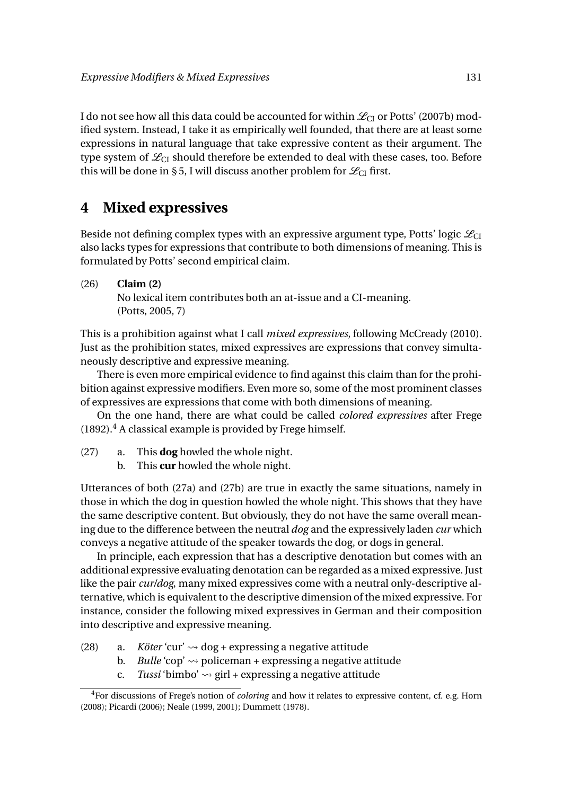I do not see how all this data could be accounted for within  $\mathcal{L}_{CI}$  or Potts' (2007b) modified system. Instead, I take it as empirically well founded, that there are at least some expressions in natural language that take expressive content as their argument. The type system of  $\mathcal{L}_{CI}$  should therefore be extended to deal with these cases, too. Before this will be done in § 5, I will discuss another problem for  $\mathcal{L}_{CI}$  first.

## **4 Mixed expressives**

Beside not defining complex types with an expressive argument type, Potts' logic  $\mathcal{L}_{CI}$ also lacks types for expressions that contribute to both dimensions of meaning. This is formulated by Potts' second empirical claim.

#### (26) **Claim (2)**

No lexical item contributes both an at-issue and a CI-meaning. (Potts, 2005, 7)

This is a prohibition against what I call *mixed expressives*, following McCready (2010). Just as the prohibition states, mixed expressives are expressions that convey simultaneously descriptive and expressive meaning.

There is even more empirical evidence to find against this claim than for the prohibition against expressive modifiers. Even more so, some of the most prominent classes of expressives are expressions that come with both dimensions of meaning.

On the one hand, there are what could be called *colored expressives* after Frege  $(1892).<sup>4</sup>$  A classical example is provided by Frege himself.

- (27) a. This **dog** howled the whole night.
	- b. This **cur** howled the whole night.

Utterances of both (27a) and (27b) are true in exactly the same situations, namely in those in which the dog in question howled the whole night. This shows that they have the same descriptive content. But obviously, they do not have the same overall meaning due to the difference between the neutral *dog* and the expressively laden *cur* which conveys a negative attitude of the speaker towards the dog, or dogs in general.

In principle, each expression that has a descriptive denotation but comes with an additional expressive evaluating denotation can be regarded as a mixed expressive. Just like the pair *cur/dog*, many mixed expressives come with a neutral only-descriptive alternative, which is equivalent to the descriptive dimension of the mixed expressive. For instance, consider the following mixed expressives in German and their composition into descriptive and expressive meaning.

- (28) a. *Köter* 'cur'  $\rightsquigarrow$  dog + expressing a negative attitude
	- b. *Bulle* 'cop'  $\rightsquigarrow$  policeman + expressing a negative attitude
	- c. *Tussi* 'bimbo'  $\rightsquigarrow$  girl + expressing a negative attitude

<sup>4</sup>For discussions of Frege's notion of *coloring* and how it relates to expressive content, cf. e.g. Horn (2008); Picardi (2006); Neale (1999, 2001); Dummett (1978).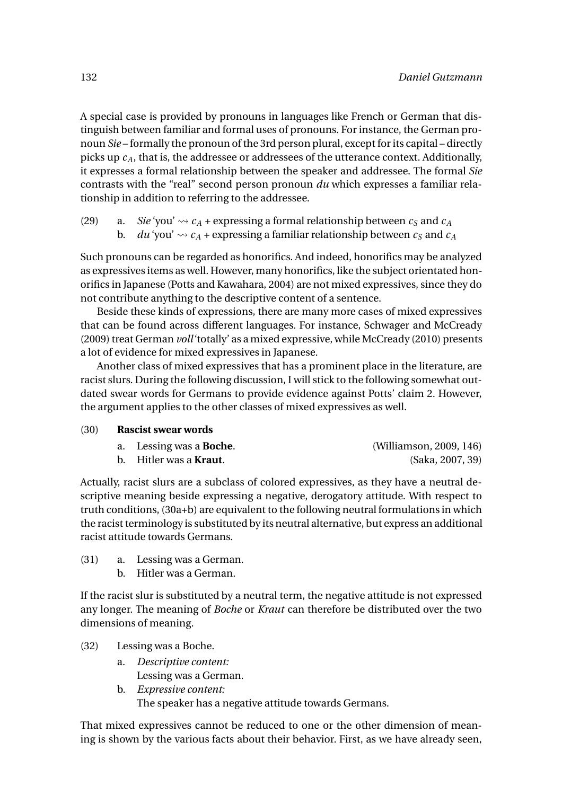A special case is provided by pronouns in languages like French or German that distinguish between familiar and formal uses of pronouns. For instance, the German pronoun *Sie* – formally the pronoun of the 3rd person plural, except for its capital – directly picks up *cA*, that is, the addressee or addressees of the utterance context. Additionally, it expresses a formal relationship between the speaker and addressee. The formal *Sie* contrasts with the "real" second person pronoun *du* which expresses a familiar relationship in addition to referring to the addressee.

(29) a. *Sie* 'you'  $\rightsquigarrow$   $c_A$  + expressing a formal relationship between  $c_S$  and  $c_A$ b. *du* 'you'  $\sim$   $c_A$  + expressing a familiar relationship between  $c_S$  and  $c_A$ 

Such pronouns can be regarded as honorifics. And indeed, honorifics may be analyzed as expressives items as well. However, many honorifics, like the subject orientated honorifics in Japanese (Potts and Kawahara, 2004) are not mixed expressives, since they do not contribute anything to the descriptive content of a sentence.

Beside these kinds of expressions, there are many more cases of mixed expressives that can be found across different languages. For instance, Schwager and McCready (2009) treat German *voll*'totally' as a mixed expressive, while McCready (2010) presents a lot of evidence for mixed expressives in Japanese.

Another class of mixed expressives that has a prominent place in the literature, are racist slurs. During the following discussion, I will stick to the following somewhat outdated swear words for Germans to provide evidence against Potts' claim 2. However, the argument applies to the other classes of mixed expressives as well.

#### (30) **Rascist swear words**

| a. Lessing was a <b>Boche</b> . | (Williamson, 2009, 146) |
|---------------------------------|-------------------------|
| b. Hitler was a <b>Kraut</b> .  | (Saka, 2007, 39)        |

Actually, racist slurs are a subclass of colored expressives, as they have a neutral descriptive meaning beside expressing a negative, derogatory attitude. With respect to truth conditions, (30a+b) are equivalent to the following neutral formulations in which the racist terminology is substituted by its neutral alternative, but express an additional racist attitude towards Germans.

- (31) a. Lessing was a German.
	- b. Hitler was a German.

If the racist slur is substituted by a neutral term, the negative attitude is not expressed any longer. The meaning of *Boche* or *Kraut* can therefore be distributed over the two dimensions of meaning.

#### (32) Lessing was a Boche.

- a. *Descriptive content:*
	- Lessing was a German.
- b. *Expressive content:*

The speaker has a negative attitude towards Germans.

That mixed expressives cannot be reduced to one or the other dimension of meaning is shown by the various facts about their behavior. First, as we have already seen,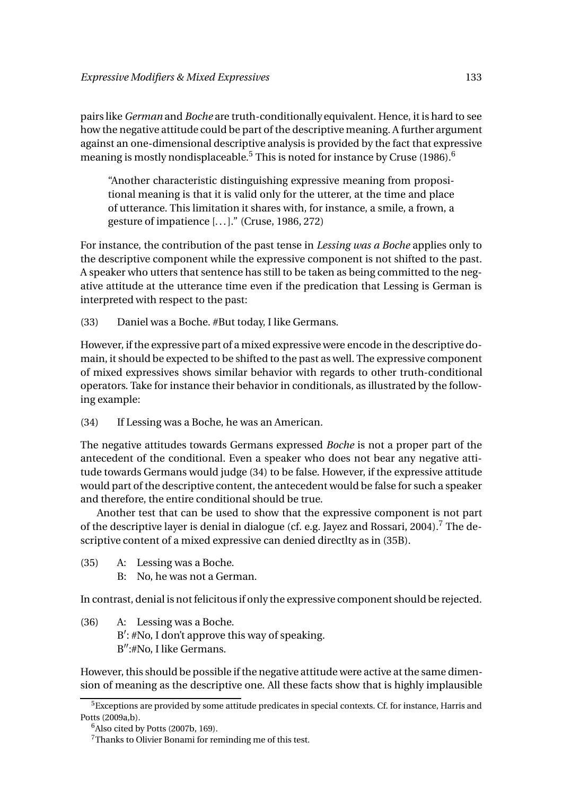pairs like *German* and *Boche* are truth-conditionally equivalent. Hence, it is hard to see how the negative attitude could be part of the descriptive meaning. A further argument against an one-dimensional descriptive analysis is provided by the fact that expressive meaning is mostly nondisplaceable.<sup>5</sup> This is noted for instance by Cruse (1986).<sup>6</sup>

"Another characteristic distinguishing expressive meaning from propositional meaning is that it is valid only for the utterer, at the time and place of utterance. This limitation it shares with, for instance, a smile, a frown, a gesture of impatience [... ]." (Cruse, 1986, 272)

For instance, the contribution of the past tense in *Lessing was a Boche* applies only to the descriptive component while the expressive component is not shifted to the past. A speaker who utters that sentence has still to be taken as being committed to the negative attitude at the utterance time even if the predication that Lessing is German is interpreted with respect to the past:

(33) Daniel was a Boche. #But today, I like Germans.

However, if the expressive part of a mixed expressive were encode in the descriptive domain, it should be expected to be shifted to the past as well. The expressive component of mixed expressives shows similar behavior with regards to other truth-conditional operators. Take for instance their behavior in conditionals, as illustrated by the following example:

(34) If Lessing was a Boche, he was an American.

The negative attitudes towards Germans expressed *Boche* is not a proper part of the antecedent of the conditional. Even a speaker who does not bear any negative attitude towards Germans would judge (34) to be false. However, if the expressive attitude would part of the descriptive content, the antecedent would be false for such a speaker and therefore, the entire conditional should be true.

Another test that can be used to show that the expressive component is not part of the descriptive layer is denial in dialogue (cf. e.g. Jayez and Rossari, 2004).<sup>7</sup> The descriptive content of a mixed expressive can denied directlty as in (35B).

- (35) A: Lessing was a Boche.
	- B: No, he was not a German.

In contrast, denial is not felicitous if only the expressive component should be rejected.

(36) A: Lessing was a Boche. B': #No, I don't approve this way of speaking. B":#No, I like Germans.

However, this should be possible if the negative attitude were active at the same dimension of meaning as the descriptive one. All these facts show that is highly implausible

<sup>5</sup>Exceptions are provided by some attitude predicates in special contexts. Cf. for instance, Harris and Potts (2009a,b).

 $6$ Also cited by Potts (2007b, 169).

<sup>7</sup>Thanks to Olivier Bonami for reminding me of this test.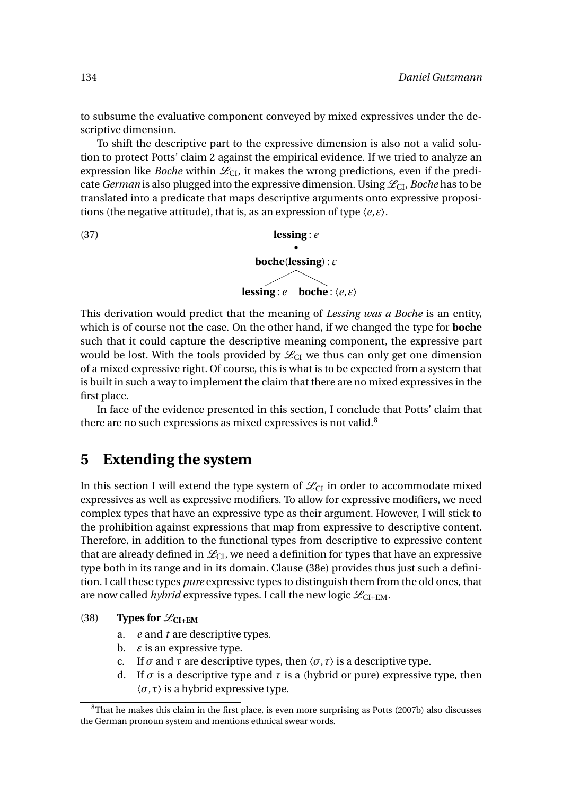to subsume the evaluative component conveyed by mixed expressives under the descriptive dimension.

To shift the descriptive part to the expressive dimension is also not a valid solution to protect Potts' claim 2 against the empirical evidence. If we tried to analyze an expression like *Boche* within  $\mathcal{L}_{CL}$ , it makes the wrong predictions, even if the predicate *German* is also plugged into the expressive dimension. Using  $\mathcal{L}_{\text{CL}}$ , *Boche* has to be translated into a predicate that maps descriptive arguments onto expressive propositions (the negative attitude), that is, as an expression of type 〈*e*,*ε*〉.

(37) **lessing** : *e* • **boche**(**lessing**) : *ε*

**lessing**: *e* **boche** :  $\langle e, \varepsilon \rangle$ 

This derivation would predict that the meaning of *Lessing was a Boche* is an entity, which is of course not the case. On the other hand, if we changed the type for **boche** such that it could capture the descriptive meaning component, the expressive part would be lost. With the tools provided by  $\mathcal{L}_{CI}$  we thus can only get one dimension of a mixed expressive right. Of course, this is what is to be expected from a system that is built in such a way to implement the claim that there are no mixed expressives in the first place.

In face of the evidence presented in this section, I conclude that Potts' claim that there are no such expressions as mixed expressives is not valid. $8$ 

### **5 Extending the system**

In this section I will extend the type system of  $\mathcal{L}_{CI}$  in order to accommodate mixed expressives as well as expressive modifiers. To allow for expressive modifiers, we need complex types that have an expressive type as their argument. However, I will stick to the prohibition against expressions that map from expressive to descriptive content. Therefore, in addition to the functional types from descriptive to expressive content that are already defined in  $\mathcal{L}_{CL}$ , we need a definition for types that have an expressive type both in its range and in its domain. Clause (38e) provides thus just such a definition. I call these types *pure* expressive types to distinguish them from the old ones, that are now called *hybrid* expressive types. I call the new logic  $\mathcal{L}_{\text{CI+EM}}$ .

#### (38) **Types for**  $\mathscr{L}_{\text{CI+EM}}$

- a. *e* and *t* are descriptive types.
- b.  $\varepsilon$  is an expressive type.
- c. If  $\sigma$  and  $\tau$  are descriptive types, then  $\langle \sigma, \tau \rangle$  is a descriptive type.
- d. If  $\sigma$  is a descriptive type and  $\tau$  is a (hybrid or pure) expressive type, then 〈*σ*,*τ*〉 is a hybrid expressive type.

<sup>&</sup>lt;sup>8</sup>That he makes this claim in the first place, is even more surprising as Potts (2007b) also discusses the German pronoun system and mentions ethnical swear words.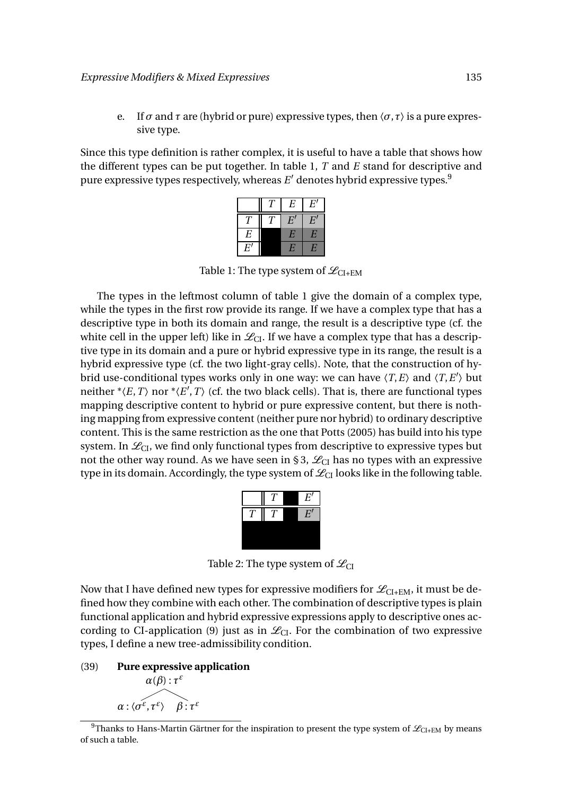e. If  $\sigma$  and  $\tau$  are (hybrid or pure) expressive types, then  $\langle \sigma, \tau \rangle$  is a pure expressive type.

Since this type definition is rather complex, it is useful to have a table that shows how the different types can be put together. In table 1, *T* and *E* stand for descriptive and pure expressive types respectively, whereas  $E'$  denotes hybrid expressive types. $^9$ 

|            | $\cal E$         | $E^{\prime}$     |
|------------|------------------|------------------|
|            | $\boldsymbol{E}$ | $\boldsymbol{E}$ |
| E          | $\overline{E}$   | E                |
| $E^\prime$ | $\overline{E}$   | Е                |

Table 1: The type system of  $\mathcal{L}_{CI+EM}$ 

The types in the leftmost column of table 1 give the domain of a complex type, while the types in the first row provide its range. If we have a complex type that has a descriptive type in both its domain and range, the result is a descriptive type (cf. the white cell in the upper left) like in  $\mathcal{L}_{CL}$ . If we have a complex type that has a descriptive type in its domain and a pure or hybrid expressive type in its range, the result is a hybrid expressive type (cf. the two light-gray cells). Note, that the construction of hybrid use-conditional types works only in one way: we can have  $\langle T, E \rangle$  and  $\langle T, E' \rangle$  but neither  $*(E, T)$  nor  $*(E', T)$  (cf. the two black cells). That is, there are functional types mapping descriptive content to hybrid or pure expressive content, but there is nothing mapping from expressive content (neither pure nor hybrid) to ordinary descriptive content. This is the same restriction as the one that Potts (2005) has build into his type system. In  $\mathcal{L}_{CL}$ , we find only functional types from descriptive to expressive types but not the other way round. As we have seen in § 3,  $\mathcal{L}_{CI}$  has no types with an expressive type in its domain. Accordingly, the type system of  $\mathcal{L}_{CI}$  looks like in the following table.



Table 2: The type system of  $\mathcal{L}_{CI}$ 

Now that I have defined new types for expressive modifiers for  $\mathcal{L}_{\text{CI+EM}}$ , it must be defined how they combine with each other. The combination of descriptive types is plain functional application and hybrid expressive expressions apply to descriptive ones according to CI-application (9) just as in  $\mathcal{L}_{CL}$ . For the combination of two expressive types, I define a new tree-admissibility condition.

(39) **Pure expressive application**



<sup>9</sup>Thanks to Hans-Martin Gärtner for the inspiration to present the type system of  $\mathcal{L}_{\text{CI+EM}}$  by means of such a table.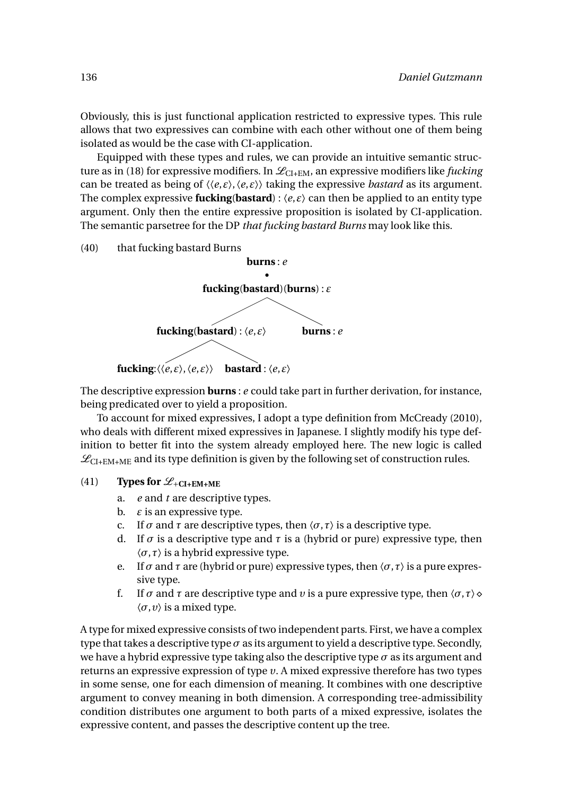Obviously, this is just functional application restricted to expressive types. This rule allows that two expressives can combine with each other without one of them being isolated as would be the case with CI-application.

Equipped with these types and rules, we can provide an intuitive semantic structure as in (18) for expressive modifiers. In  $\mathcal{L}_{CI+EM}$ , an expressive modifiers like *fucking* can be treated as being of  $\langle \langle e, \varepsilon \rangle, \langle e, \varepsilon \rangle \rangle$  taking the expressive *bastard* as its argument. The complex expressive **fucking**(**bastard**) :  $\langle e, \varepsilon \rangle$  can then be applied to an entity type argument. Only then the entire expressive proposition is isolated by CI-application. The semantic parsetree for the DP *that fucking bastard Burns* may look like this.

(40) that fucking bastard Burns



The descriptive expression **burns** : *e* could take part in further derivation, for instance, being predicated over to yield a proposition.

To account for mixed expressives, I adopt a type definition from McCready (2010), who deals with different mixed expressives in Japanese. I slightly modify his type definition to better fit into the system already employed here. The new logic is called  $\mathcal{L}_{\text{CI+EM+ME}}$  and its type definition is given by the following set of construction rules.

- (41) **Types for**  $\mathscr{L}_{+CI+EM+ME}$ 
	- a. *e* and *t* are descriptive types.
	- b. *ε* is an expressive type.
	- c. If  $\sigma$  and  $\tau$  are descriptive types, then  $\langle \sigma, \tau \rangle$  is a descriptive type.
	- d. If  $\sigma$  is a descriptive type and  $\tau$  is a (hybrid or pure) expressive type, then 〈*σ*,*τ*〉 is a hybrid expressive type.
	- e. If  $\sigma$  and  $\tau$  are (hybrid or pure) expressive types, then  $\langle \sigma, \tau \rangle$  is a pure expressive type.
	- f. If  $\sigma$  and  $\tau$  are descriptive type and  $\nu$  is a pure expressive type, then  $\langle \sigma, \tau \rangle$   $\diamond$  $\langle \sigma, v \rangle$  is a mixed type.

A type for mixed expressive consists of two independent parts. First, we have a complex type that takes a descriptive type  $\sigma$  as its argument to yield a descriptive type. Secondly, we have a hybrid expressive type taking also the descriptive type  $\sigma$  as its argument and returns an expressive expression of type *υ*. A mixed expressive therefore has two types in some sense, one for each dimension of meaning. It combines with one descriptive argument to convey meaning in both dimension. A corresponding tree-admissibility condition distributes one argument to both parts of a mixed expressive, isolates the expressive content, and passes the descriptive content up the tree.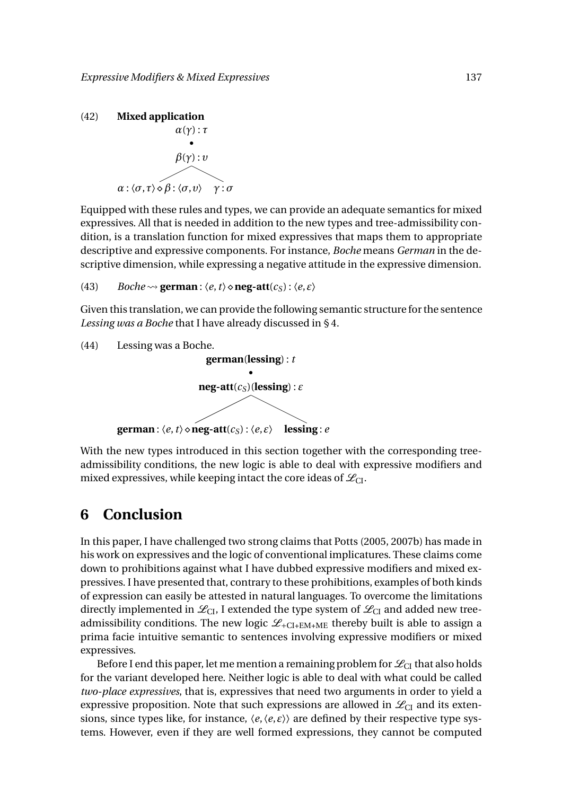

Equipped with these rules and types, we can provide an adequate semantics for mixed expressives. All that is needed in addition to the new types and tree-admissibility condition, is a translation function for mixed expressives that maps them to appropriate descriptive and expressive components. For instance, *Boche* means *German* in the descriptive dimension, while expressing a negative attitude in the expressive dimension.

(43) *Boche*  $\rightsquigarrow$  **german** :  $\langle e, t \rangle \diamond$  **neg-att** $(c_S)$  :  $\langle e, \varepsilon \rangle$ 

Given this translation, we can provide the following semantic structure for the sentence *Lessing was a Boche* that I have already discussed in § 4.

```
(44) Lessing was a Boche.
                           german(lessing) : t
                                         •
                        neg-att(c_S)(lessing) : \varepsilongerman: \langle e, t \rangle \diamondneg-att(c_S): \langle e, \varepsilon \rangle lessing: e
```
With the new types introduced in this section together with the corresponding treeadmissibility conditions, the new logic is able to deal with expressive modifiers and mixed expressives, while keeping intact the core ideas of  $\mathcal{L}_{\text{CI}}$ .

### **6 Conclusion**

In this paper, I have challenged two strong claims that Potts (2005, 2007b) has made in his work on expressives and the logic of conventional implicatures. These claims come down to prohibitions against what I have dubbed expressive modifiers and mixed expressives. I have presented that, contrary to these prohibitions, examples of both kinds of expression can easily be attested in natural languages. To overcome the limitations directly implemented in  $\mathcal{L}_{CL}$ , I extended the type system of  $\mathcal{L}_{CL}$  and added new treeadmissibility conditions. The new logic  $\mathcal{L}_{+CI+EM+ME}$  thereby built is able to assign a prima facie intuitive semantic to sentences involving expressive modifiers or mixed expressives.

Before I end this paper, let me mention a remaining problem for  $\mathcal{L}_{CI}$  that also holds for the variant developed here. Neither logic is able to deal with what could be called *two-place expressives*, that is, expressives that need two arguments in order to yield a expressive proposition. Note that such expressions are allowed in  $\mathcal{L}_{CI}$  and its extensions, since types like, for instance,  $\langle e, \langle e, \varepsilon \rangle \rangle$  are defined by their respective type systems. However, even if they are well formed expressions, they cannot be computed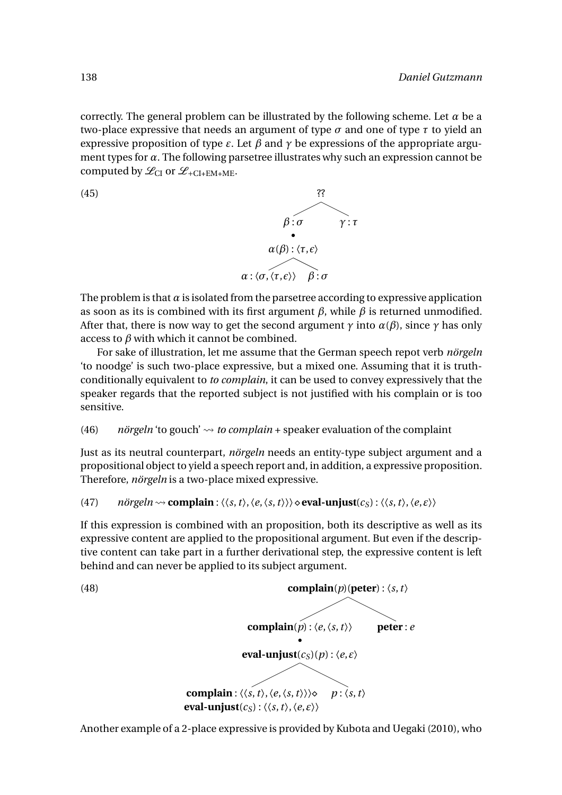correctly. The general problem can be illustrated by the following scheme. Let  $\alpha$  be a two-place expressive that needs an argument of type  $\sigma$  and one of type  $\tau$  to yield an expressive proposition of type  $\varepsilon$ . Let  $\beta$  and  $\gamma$  be expressions of the appropriate argument types for *α*. The following parsetree illustrates why such an expression cannot be computed by  $\mathcal{L}_{CI}$  or  $\mathcal{L}_{+CI+EM+ME}$ .



The problem is that  $\alpha$  is isolated from the parsetree according to expressive application as soon as its is combined with its first argument  $\beta$ , while  $\beta$  is returned unmodified. After that, there is now way to get the second argument  $\gamma$  into  $\alpha(\beta)$ , since  $\gamma$  has only access to  $\beta$  with which it cannot be combined.

For sake of illustration, let me assume that the German speech repot verb *nörgeln* 'to noodge' is such two-place expressive, but a mixed one. Assuming that it is truthconditionally equivalent to *to complain*, it can be used to convey expressively that the speaker regards that the reported subject is not justified with his complain or is too sensitive.

#### (46)  $\dot{\textit{n}}$  *nörgeln* 'to gouch'  $\sim$  *to complain* + speaker evaluation of the complaint

Just as its neutral counterpart, *nörgeln* needs an entity-type subject argument and a propositional object to yield a speech report and, in addition, a expressive proposition. Therefore, *nörgeln* is a two-place mixed expressive.

(47) *nörgeln* 
$$
\rightsquigarrow
$$
 **complain** :  $\langle \langle s, t \rangle, \langle e, \langle s, t \rangle \rangle \rangle \diamond$  **eval-unjust**( $c_S$ ) :  $\langle \langle s, t \rangle, \langle e, \varepsilon \rangle \rangle$ 

If this expression is combined with an proposition, both its descriptive as well as its expressive content are applied to the propositional argument. But even if the descriptive content can take part in a further derivational step, the expressive content is left behind and can never be applied to its subject argument.

(48)  
\n**complain**(*p*) : 
$$
\langle e, \langle s, t \rangle
$$
 **peter**: *e*  
\n**eval-unjust**(*c<sub>S</sub>*) (*p*) :  $\langle e, \varepsilon \rangle$   
\n**complain**:  $\langle \langle s, t \rangle, \langle e, \langle s, t \rangle \rangle \rangle \diamond p : \langle s, t \rangle$   
\n**eval-unjust**(*c<sub>S</sub>*) :  $\langle \langle s, t \rangle, \langle e, \varepsilon \rangle \rangle$ 

Another example of a 2-place expressive is provided by Kubota and Uegaki (2010), who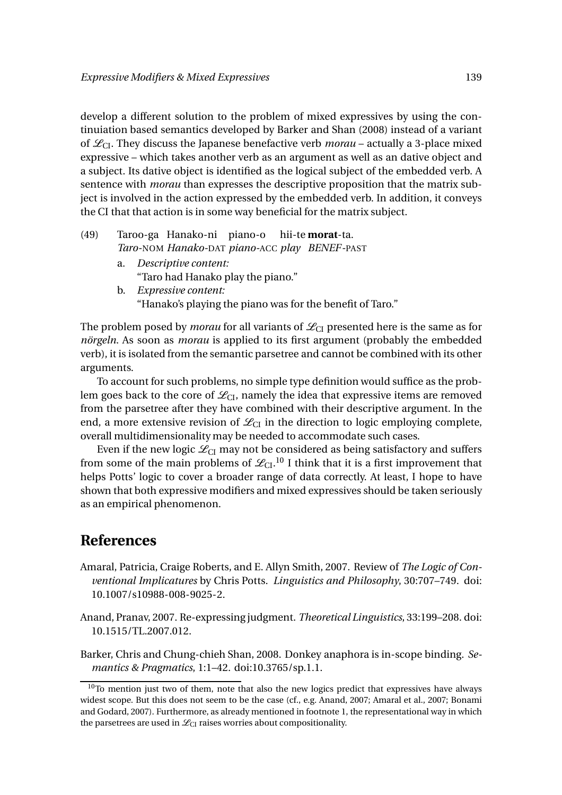develop a different solution to the problem of mixed expressives by using the continuiation based semantics developed by Barker and Shan (2008) instead of a variant of  $\mathcal{L}_{CI}$ . They discuss the Japanese benefactive verb *morau* – actually a 3-place mixed expressive – which takes another verb as an argument as well as an dative object and a subject. Its dative object is identified as the logical subject of the embedded verb. A sentence with *morau* than expresses the descriptive proposition that the matrix subject is involved in the action expressed by the embedded verb. In addition, it conveys the CI that that action is in some way beneficial for the matrix subject.

- (49) Taroo-ga Hanako-ni piano-o *Taro-*NOM *Hanako-*DAT *piano-*ACC *play BENEF-*PAST hii-te **morat**-ta. a. *Descriptive content:* "Taro had Hanako play the piano."
	- b. *Expressive content:* "Hanako's playing the piano was for the benefit of Taro."

The problem posed by *morau* for all variants of  $\mathcal{L}_{CI}$  presented here is the same as for *nörgeln*. As soon as *morau* is applied to its first argument (probably the embedded verb), it is isolated from the semantic parsetree and cannot be combined with its other arguments.

To account for such problems, no simple type definition would suffice as the problem goes back to the core of  $\mathcal{L}_{CL}$ , namely the idea that expressive items are removed from the parsetree after they have combined with their descriptive argument. In the end, a more extensive revision of  $\mathcal{L}_{CI}$  in the direction to logic employing complete, overall multidimensionality may be needed to accommodate such cases.

Even if the new logic  $\mathcal{L}_{CI}$  may not be considered as being satisfactory and suffers from some of the main problems of  $\mathscr{L}_{\text{CI}}$ .  $^{10}$  I think that it is a first improvement that helps Potts' logic to cover a broader range of data correctly. At least, I hope to have shown that both expressive modifiers and mixed expressives should be taken seriously as an empirical phenomenon.

### **References**

- Amaral, Patricia, Craige Roberts, and E. Allyn Smith, 2007. Review of *The Logic of Conventional Implicatures* by Chris Potts. *Linguistics and Philosophy*, 30:707–749. doi: 10.1007/s10988-008-9025-2.
- Anand, Pranav, 2007. Re-expressing judgment. *Theoretical Linguistics*, 33:199–208. doi: 10.1515/TL.2007.012.

Barker, Chris and Chung-chieh Shan, 2008. Donkey anaphora is in-scope binding. *Semantics & Pragmatics*, 1:1–42. doi:10.3765/sp.1.1.

 $10$ To mention just two of them, note that also the new logics predict that expressives have always widest scope. But this does not seem to be the case (cf., e.g. Anand, 2007; Amaral et al., 2007; Bonami and Godard, 2007). Furthermore, as already mentioned in footnote 1, the representational way in which the parsetrees are used in  $\mathcal{L}_{CI}$  raises worries about compositionality.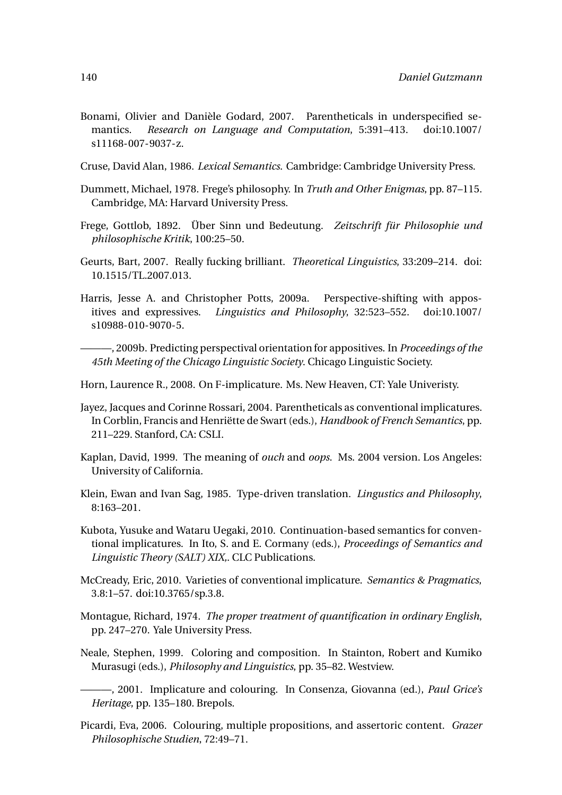- Bonami, Olivier and Danièle Godard, 2007. Parentheticals in underspecified semantics. *Research on Language and Computation*, 5:391–413. doi:10.1007/ s11168-007-9037-z.
- Cruse, David Alan, 1986. *Lexical Semantics*. Cambridge: Cambridge University Press.
- Dummett, Michael, 1978. Frege's philosophy. In *Truth and Other Enigmas*, pp. 87–115. Cambridge, MA: Harvard University Press.
- Frege, Gottlob, 1892. Über Sinn und Bedeutung. *Zeitschrift für Philosophie und philosophische Kritik*, 100:25–50.
- Geurts, Bart, 2007. Really fucking brilliant. *Theoretical Linguistics*, 33:209–214. doi: 10.1515/TL.2007.013.
- Harris, Jesse A. and Christopher Potts, 2009a. Perspective-shifting with appositives and expressives. *Linguistics and Philosophy*, 32:523–552. doi:10.1007/ s10988-010-9070-5.
- ———, 2009b. Predicting perspectival orientation for appositives. In *Proceedings of the 45th Meeting of the Chicago Linguistic Society*. Chicago Linguistic Society.
- Horn, Laurence R., 2008. On F-implicature. Ms. New Heaven, CT: Yale Univeristy.
- Jayez, Jacques and Corinne Rossari, 2004. Parentheticals as conventional implicatures. In Corblin, Francis and Henriëtte de Swart (eds.), *Handbook of French Semantics*, pp. 211–229. Stanford, CA: CSLI.
- Kaplan, David, 1999. The meaning of *ouch* and *oops*. Ms. 2004 version. Los Angeles: University of California.
- Klein, Ewan and Ivan Sag, 1985. Type-driven translation. *Lingustics and Philosophy*, 8:163–201.
- Kubota, Yusuke and Wataru Uegaki, 2010. Continuation-based semantics for conventional implicatures. In Ito, S. and E. Cormany (eds.), *Proceedings of Semantics and Linguistic Theory (SALT) XIX,*. CLC Publications.
- McCready, Eric, 2010. Varieties of conventional implicature. *Semantics & Pragmatics*, 3.8:1–57. doi:10.3765/sp.3.8.
- Montague, Richard, 1974. *The proper treatment of quantification in ordinary English*, pp. 247–270. Yale University Press.
- Neale, Stephen, 1999. Coloring and composition. In Stainton, Robert and Kumiko Murasugi (eds.), *Philosophy and Linguistics*, pp. 35–82. Westview.
- ———, 2001. Implicature and colouring. In Consenza, Giovanna (ed.), *Paul Grice's Heritage*, pp. 135–180. Brepols.
- Picardi, Eva, 2006. Colouring, multiple propositions, and assertoric content. *Grazer Philosophische Studien*, 72:49–71.